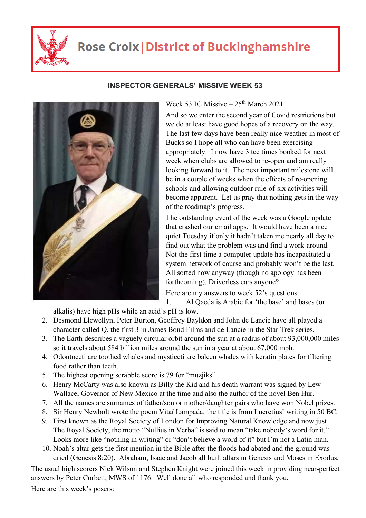

## **Rose Croix | District of Buckinghamshire**



## **INSPECTOR GENERALS' MISSIVE WEEK 53**

Week 53 IG Missive –  $25<sup>th</sup>$  March 2021

And so we enter the second year of Covid restrictions but we do at least have good hopes of a recovery on the way. The last few days have been really nice weather in most of Bucks so I hope all who can have been exercising appropriately. I now have 3 tee times booked for next week when clubs are allowed to re-open and am really looking forward to it. The next important milestone will be in a couple of weeks when the effects of re-opening schools and allowing outdoor rule-of-six activities will become apparent. Let us pray that nothing gets in the way of the roadmap's progress.

The outstanding event of the week was a Google update that crashed our email apps. It would have been a nice quiet Tuesday if only it hadn't taken me nearly all day to find out what the problem was and find a work-around. Not the first time a computer update has incapacitated a system network of course and probably won't be the last. All sorted now anyway (though no apology has been forthcoming). Driverless cars anyone?

Here are my answers to week 52's questions: 1. Al Qaeda is Arabic for 'the base' and bases (or

alkalis) have high pHs while an acid's pH is low.

- 2. Desmond Llewellyn, Peter Burton, Geoffrey Bayldon and John de Lancie have all played a character called Q, the first 3 in James Bond Films and de Lancie in the Star Trek series.
- 3. The Earth describes a vaguely circular orbit around the sun at a radius of about 93,000,000 miles so it travels about 584 billion miles around the sun in a year at about 67,000 mph.
- 4. Odontoceti are toothed whales and mysticeti are baleen whales with keratin plates for filtering food rather than teeth.
- 5. The highest opening scrabble score is 79 for "muzjiks"
- 6. Henry McCarty was also known as Billy the Kid and his death warrant was signed by Lew Wallace, Governor of New Mexico at the time and also the author of the novel Ben Hur.
- 7. All the names are surnames of father/son or mother/daughter pairs who have won Nobel prizes.
- 8. Sir Henry Newbolt wrote the poem Vìtaï Lampada; the title is from Lucretius' writing in 50 BC.
- 9. First known as the Royal Society of London for Improving Natural Knowledge and now just The Royal Society, the motto "Nullius in Verba" is said to mean "take nobody's word for it." Looks more like "nothing in writing" or "don't believe a word of it" but I'm not a Latin man.
- 10. Noah's altar gets the first mention in the Bible after the floods had abated and the ground was dried (Genesis 8:20). Abraham, Isaac and Jacob all built altars in Genesis and Moses in Exodus.

The usual high scorers Nick Wilson and Stephen Knight were joined this week in providing near-perfect answers by Peter Corbett, MWS of 1176. Well done all who responded and thank you.

Here are this week's posers: